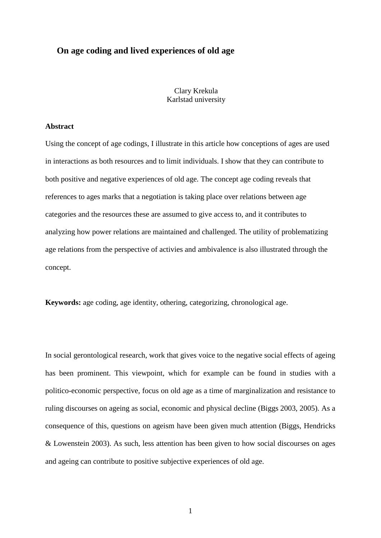# **On age coding and lived experiences of old age**

Clary Krekula Karlstad university

#### **Abstract**

Using the concept of age codings, I illustrate in this article how conceptions of ages are used in interactions as both resources and to limit individuals. I show that they can contribute to both positive and negative experiences of old age. The concept age coding reveals that references to ages marks that a negotiation is taking place over relations between age categories and the resources these are assumed to give access to, and it contributes to analyzing how power relations are maintained and challenged. The utility of problematizing age relations from the perspective of activies and ambivalence is also illustrated through the concept.

**Keywords:** age coding, age identity, othering, categorizing, chronological age.

In social gerontological research, work that gives voice to the negative social effects of ageing has been prominent. This viewpoint, which for example can be found in studies with a politico-economic perspective, focus on old age as a time of marginalization and resistance to ruling discourses on ageing as social, economic and physical decline (Biggs 2003, 2005). As a consequence of this, questions on ageism have been given much attention (Biggs, Hendricks & Lowenstein 2003). As such, less attention has been given to how social discourses on ages and ageing can contribute to positive subjective experiences of old age.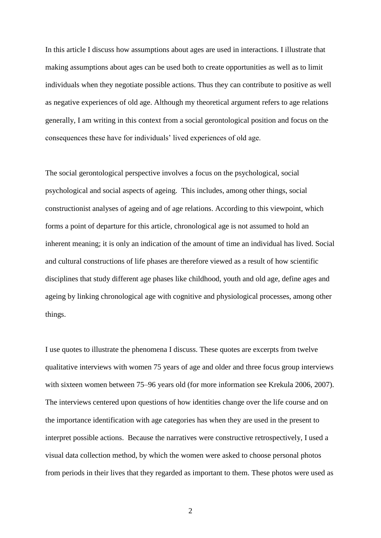In this article I discuss how assumptions about ages are used in interactions. I illustrate that making assumptions about ages can be used both to create opportunities as well as to limit individuals when they negotiate possible actions. Thus they can contribute to positive as well as negative experiences of old age. Although my theoretical argument refers to age relations generally, I am writing in this context from a social gerontological position and focus on the consequences these have for individuals" lived experiences of old age.

The social gerontological perspective involves a focus on the psychological, social psychological and social aspects of ageing. This includes, among other things, social constructionist analyses of ageing and of age relations. According to this viewpoint, which forms a point of departure for this article, chronological age is not assumed to hold an inherent meaning; it is only an indication of the amount of time an individual has lived. Social and cultural constructions of life phases are therefore viewed as a result of how scientific disciplines that study different age phases like childhood, youth and old age, define ages and ageing by linking chronological age with cognitive and physiological processes, among other things.

I use quotes to illustrate the phenomena I discuss. These quotes are excerpts from twelve qualitative interviews with women 75 years of age and older and three focus group interviews with sixteen women between 75–96 years old (for more information see Krekula 2006, 2007). The interviews centered upon questions of how identities change over the life course and on the importance identification with age categories has when they are used in the present to interpret possible actions. Because the narratives were constructive retrospectively, I used a visual data collection method, by which the women were asked to choose personal photos from periods in their lives that they regarded as important to them. These photos were used as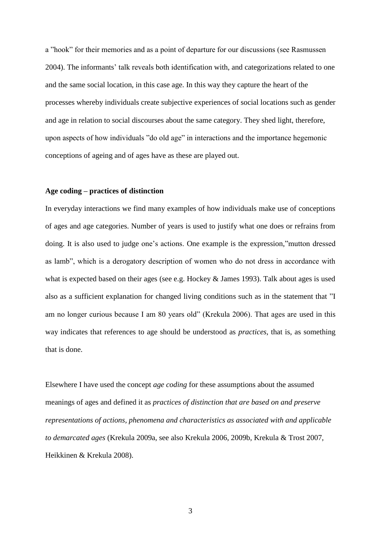a "hook" for their memories and as a point of departure for our discussions (see Rasmussen 2004). The informants" talk reveals both identification with, and categorizations related to one and the same social location, in this case age. In this way they capture the heart of the processes whereby individuals create subjective experiences of social locations such as gender and age in relation to social discourses about the same category. They shed light, therefore, upon aspects of how individuals "do old age" in interactions and the importance hegemonic conceptions of ageing and of ages have as these are played out.

# **Age coding – practices of distinction**

In everyday interactions we find many examples of how individuals make use of conceptions of ages and age categories. Number of years is used to justify what one does or refrains from doing. It is also used to judge one's actions. One example is the expression, "mutton dressed as lamb", which is a derogatory description of women who do not dress in accordance with what is expected based on their ages (see e.g. Hockey & James 1993). Talk about ages is used also as a sufficient explanation for changed living conditions such as in the statement that "I am no longer curious because I am 80 years old" (Krekula 2006). That ages are used in this way indicates that references to age should be understood as *practices*, that is, as something that is done.

Elsewhere I have used the concept *age coding* for these assumptions about the assumed meanings of ages and defined it as *practices of distinction that are based on and preserve representations of actions, phenomena and characteristics as associated with and applicable to demarcated ages* (Krekula 2009a, see also Krekula 2006, 2009b, Krekula & Trost 2007, Heikkinen & Krekula 2008).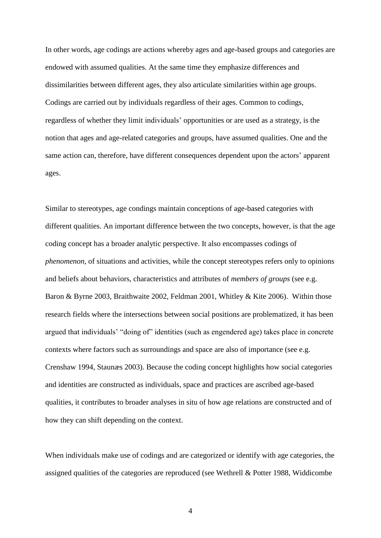In other words, age codings are actions whereby ages and age-based groups and categories are endowed with assumed qualities. At the same time they emphasize differences and dissimilarities between different ages, they also articulate similarities within age groups. Codings are carried out by individuals regardless of their ages. Common to codings, regardless of whether they limit individuals" opportunities or are used as a strategy, is the notion that ages and age-related categories and groups, have assumed qualities. One and the same action can, therefore, have different consequences dependent upon the actors" apparent ages.

Similar to stereotypes, age condings maintain conceptions of age-based categories with different qualities. An important difference between the two concepts, however, is that the age coding concept has a broader analytic perspective. It also encompasses codings of *phenomenon*, of situations and activities, while the concept stereotypes refers only to opinions and beliefs about behaviors, characteristics and attributes of *members of groups* (see e.g. Baron & Byrne 2003, Braithwaite 2002, Feldman 2001, Whitley & Kite 2006). Within those research fields where the intersections between social positions are problematized, it has been argued that individuals" "doing of" identities (such as engendered age) takes place in concrete contexts where factors such as surroundings and space are also of importance (see e.g. Crenshaw 1994, Staunæs 2003). Because the coding concept highlights how social categories and identities are constructed as individuals, space and practices are ascribed age-based qualities, it contributes to broader analyses in situ of how age relations are constructed and of how they can shift depending on the context.

When individuals make use of codings and are categorized or identify with age categories, the assigned qualities of the categories are reproduced (see Wethrell & Potter 1988, Widdicombe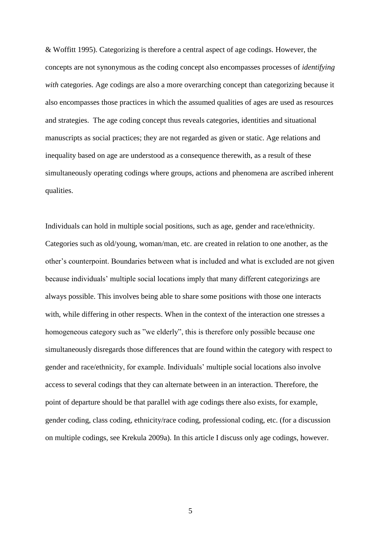& Woffitt 1995). Categorizing is therefore a central aspect of age codings. However, the concepts are not synonymous as the coding concept also encompasses processes of *identifying with* categories. Age codings are also a more overarching concept than categorizing because it also encompasses those practices in which the assumed qualities of ages are used as resources and strategies. The age coding concept thus reveals categories, identities and situational manuscripts as social practices; they are not regarded as given or static. Age relations and inequality based on age are understood as a consequence therewith, as a result of these simultaneously operating codings where groups, actions and phenomena are ascribed inherent qualities.

Individuals can hold in multiple social positions, such as age, gender and race/ethnicity. Categories such as old/young, woman/man, etc. are created in relation to one another, as the other"s counterpoint. Boundaries between what is included and what is excluded are not given because individuals" multiple social locations imply that many different categorizings are always possible. This involves being able to share some positions with those one interacts with, while differing in other respects. When in the context of the interaction one stresses a homogeneous category such as "we elderly", this is therefore only possible because one simultaneously disregards those differences that are found within the category with respect to gender and race/ethnicity, for example. Individuals" multiple social locations also involve access to several codings that they can alternate between in an interaction. Therefore, the point of departure should be that parallel with age codings there also exists, for example, gender coding, class coding, ethnicity/race coding, professional coding, etc. (for a discussion on multiple codings, see Krekula 2009a). In this article I discuss only age codings, however.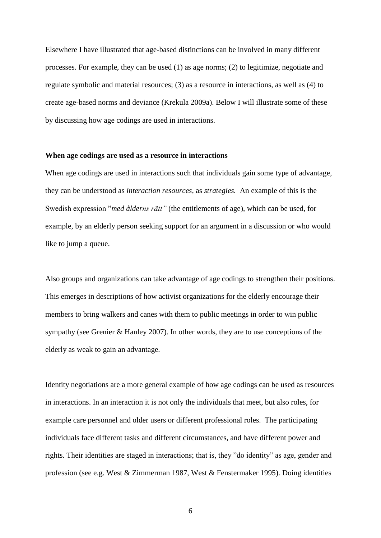Elsewhere I have illustrated that age-based distinctions can be involved in many different processes. For example, they can be used (1) as age norms; (2) to legitimize, negotiate and regulate symbolic and material resources; (3) as a resource in interactions, as well as (4) to create age-based norms and deviance (Krekula 2009a). Below I will illustrate some of these by discussing how age codings are used in interactions.

#### **When age codings are used as a resource in interactions**

When age codings are used in interactions such that individuals gain some type of advantage, they can be understood as *interaction resources,* as *strategies.* An example of this is the Swedish expression "*med ålderns rätt"* (the entitlements of age), which can be used, for example, by an elderly person seeking support for an argument in a discussion or who would like to jump a queue.

Also groups and organizations can take advantage of age codings to strengthen their positions. This emerges in descriptions of how activist organizations for the elderly encourage their members to bring walkers and canes with them to public meetings in order to win public sympathy (see Grenier & Hanley 2007). In other words, they are to use conceptions of the elderly as weak to gain an advantage.

Identity negotiations are a more general example of how age codings can be used as resources in interactions. In an interaction it is not only the individuals that meet, but also roles, for example care personnel and older users or different professional roles. The participating individuals face different tasks and different circumstances, and have different power and rights. Their identities are staged in interactions; that is, they "do identity" as age, gender and profession (see e.g. West & Zimmerman 1987, West & Fenstermaker 1995). Doing identities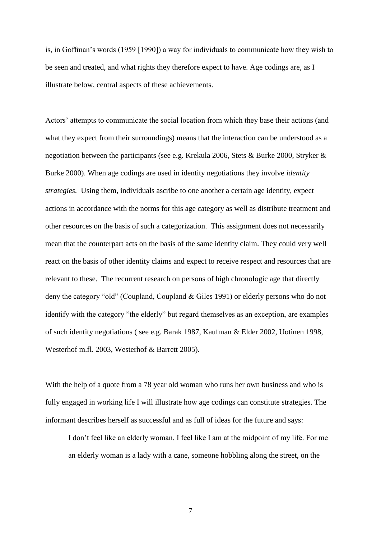is, in Goffman"s words (1959 [1990]) a way for individuals to communicate how they wish to be seen and treated, and what rights they therefore expect to have. Age codings are, as I illustrate below, central aspects of these achievements.

Actors' attempts to communicate the social location from which they base their actions (and what they expect from their surroundings) means that the interaction can be understood as a negotiation between the participants (see e.g. Krekula 2006, Stets & Burke 2000, Stryker & Burke 2000). When age codings are used in identity negotiations they involve *identity strategies.* Using them, individuals ascribe to one another a certain age identity, expect actions in accordance with the norms for this age category as well as distribute treatment and other resources on the basis of such a categorization. This assignment does not necessarily mean that the counterpart acts on the basis of the same identity claim. They could very well react on the basis of other identity claims and expect to receive respect and resources that are relevant to these. The recurrent research on persons of high chronologic age that directly deny the category "old" (Coupland, Coupland & Giles 1991) or elderly persons who do not identify with the category "the elderly" but regard themselves as an exception, are examples of such identity negotiations ( see e.g. Barak 1987, Kaufman & Elder 2002, Uotinen 1998, Westerhof m.fl. 2003, Westerhof & Barrett 2005).

With the help of a quote from a 78 year old woman who runs her own business and who is fully engaged in working life I will illustrate how age codings can constitute strategies. The informant describes herself as successful and as full of ideas for the future and says:

I don"t feel like an elderly woman. I feel like I am at the midpoint of my life. For me an elderly woman is a lady with a cane, someone hobbling along the street, on the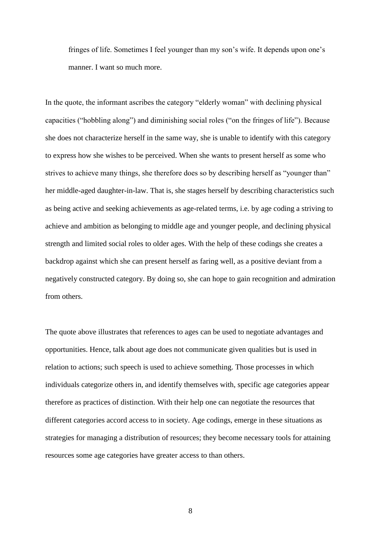fringes of life. Sometimes I feel younger than my son's wife. It depends upon one's manner. I want so much more.

In the quote, the informant ascribes the category "elderly woman" with declining physical capacities ("hobbling along") and diminishing social roles ("on the fringes of life"). Because she does not characterize herself in the same way, she is unable to identify with this category to express how she wishes to be perceived. When she wants to present herself as some who strives to achieve many things, she therefore does so by describing herself as "younger than" her middle-aged daughter-in-law. That is, she stages herself by describing characteristics such as being active and seeking achievements as age-related terms, i.e. by age coding a striving to achieve and ambition as belonging to middle age and younger people, and declining physical strength and limited social roles to older ages. With the help of these codings she creates a backdrop against which she can present herself as faring well, as a positive deviant from a negatively constructed category. By doing so, she can hope to gain recognition and admiration from others.

The quote above illustrates that references to ages can be used to negotiate advantages and opportunities. Hence, talk about age does not communicate given qualities but is used in relation to actions; such speech is used to achieve something. Those processes in which individuals categorize others in, and identify themselves with, specific age categories appear therefore as practices of distinction. With their help one can negotiate the resources that different categories accord access to in society. Age codings, emerge in these situations as strategies for managing a distribution of resources; they become necessary tools for attaining resources some age categories have greater access to than others.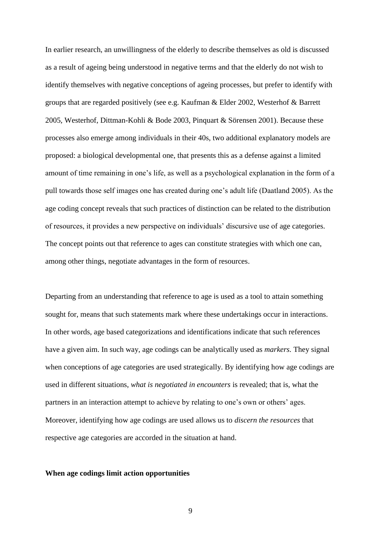In earlier research, an unwillingness of the elderly to describe themselves as old is discussed as a result of ageing being understood in negative terms and that the elderly do not wish to identify themselves with negative conceptions of ageing processes, but prefer to identify with groups that are regarded positively (see e.g. Kaufman & Elder 2002, Westerhof & Barrett 2005, Westerhof, Dittman-Kohli & Bode 2003, Pinquart & Sörensen 2001). Because these processes also emerge among individuals in their 40s, two additional explanatory models are proposed: a biological developmental one, that presents this as a defense against a limited amount of time remaining in one"s life, as well as a psychological explanation in the form of a pull towards those self images one has created during one"s adult life (Daatland 2005). As the age coding concept reveals that such practices of distinction can be related to the distribution of resources, it provides a new perspective on individuals" discursive use of age categories. The concept points out that reference to ages can constitute strategies with which one can, among other things, negotiate advantages in the form of resources.

Departing from an understanding that reference to age is used as a tool to attain something sought for, means that such statements mark where these undertakings occur in interactions. In other words, age based categorizations and identifications indicate that such references have a given aim. In such way, age codings can be analytically used as *markers.* They signal when conceptions of age categories are used strategically. By identifying how age codings are used in different situations, *what is negotiated in encounters* is revealed; that is, what the partners in an interaction attempt to achieve by relating to one's own or others' ages. Moreover, identifying how age codings are used allows us to *discern the resources* that respective age categories are accorded in the situation at hand.

### **When age codings limit action opportunities**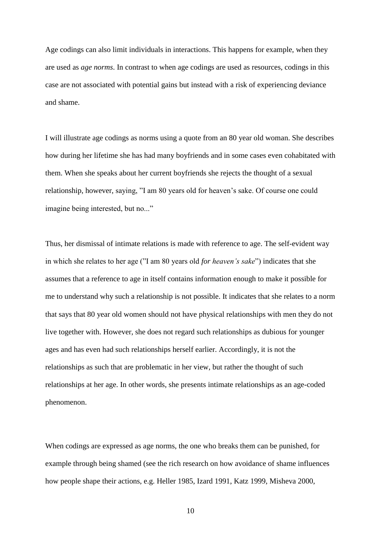Age codings can also limit individuals in interactions. This happens for example, when they are used as *age norms*. In contrast to when age codings are used as resources, codings in this case are not associated with potential gains but instead with a risk of experiencing deviance and shame.

I will illustrate age codings as norms using a quote from an 80 year old woman. She describes how during her lifetime she has had many boyfriends and in some cases even cohabitated with them. When she speaks about her current boyfriends she rejects the thought of a sexual relationship, however, saying, "I am 80 years old for heaven"s sake. Of course one could imagine being interested, but no..."

Thus, her dismissal of intimate relations is made with reference to age. The self-evident way in which she relates to her age ("I am 80 years old *for heaven's sake*") indicates that she assumes that a reference to age in itself contains information enough to make it possible for me to understand why such a relationship is not possible. It indicates that she relates to a norm that says that 80 year old women should not have physical relationships with men they do not live together with. However, she does not regard such relationships as dubious for younger ages and has even had such relationships herself earlier. Accordingly, it is not the relationships as such that are problematic in her view, but rather the thought of such relationships at her age. In other words, she presents intimate relationships as an age-coded phenomenon.

When codings are expressed as age norms, the one who breaks them can be punished, for example through being shamed (see the rich research on how avoidance of shame influences how people shape their actions, e.g. Heller 1985, Izard 1991, Katz 1999, Misheva 2000,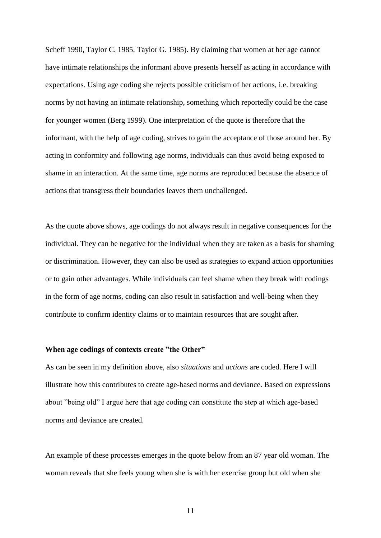Scheff 1990, Taylor C. 1985, Taylor G. 1985). By claiming that women at her age cannot have intimate relationships the informant above presents herself as acting in accordance with expectations. Using age coding she rejects possible criticism of her actions, i.e. breaking norms by not having an intimate relationship, something which reportedly could be the case for younger women (Berg 1999). One interpretation of the quote is therefore that the informant, with the help of age coding, strives to gain the acceptance of those around her. By acting in conformity and following age norms, individuals can thus avoid being exposed to shame in an interaction. At the same time, age norms are reproduced because the absence of actions that transgress their boundaries leaves them unchallenged.

As the quote above shows, age codings do not always result in negative consequences for the individual. They can be negative for the individual when they are taken as a basis for shaming or discrimination. However, they can also be used as strategies to expand action opportunities or to gain other advantages. While individuals can feel shame when they break with codings in the form of age norms, coding can also result in satisfaction and well-being when they contribute to confirm identity claims or to maintain resources that are sought after.

# **When age codings of contexts create "the Other"**

As can be seen in my definition above, also *situations* and *actions* are coded. Here I will illustrate how this contributes to create age-based norms and deviance. Based on expressions about "being old" I argue here that age coding can constitute the step at which age-based norms and deviance are created.

An example of these processes emerges in the quote below from an 87 year old woman. The woman reveals that she feels young when she is with her exercise group but old when she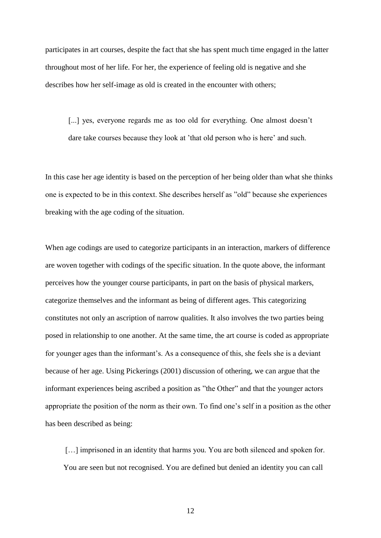participates in art courses, despite the fact that she has spent much time engaged in the latter throughout most of her life. For her, the experience of feeling old is negative and she describes how her self-image as old is created in the encounter with others;

[...] yes, everyone regards me as too old for everything. One almost doesn't dare take courses because they look at 'that old person who is here' and such.

In this case her age identity is based on the perception of her being older than what she thinks one is expected to be in this context. She describes herself as "old" because she experiences breaking with the age coding of the situation.

When age codings are used to categorize participants in an interaction, markers of difference are woven together with codings of the specific situation. In the quote above, the informant perceives how the younger course participants, in part on the basis of physical markers, categorize themselves and the informant as being of different ages. This categorizing constitutes not only an ascription of narrow qualities. It also involves the two parties being posed in relationship to one another. At the same time, the art course is coded as appropriate for younger ages than the informant"s. As a consequence of this, she feels she is a deviant because of her age. Using Pickerings (2001) discussion of othering, we can argue that the informant experiences being ascribed a position as "the Other" and that the younger actors appropriate the position of the norm as their own. To find one"s self in a position as the other has been described as being:

[...] imprisoned in an identity that harms you. You are both silenced and spoken for. You are seen but not recognised. You are defined but denied an identity you can call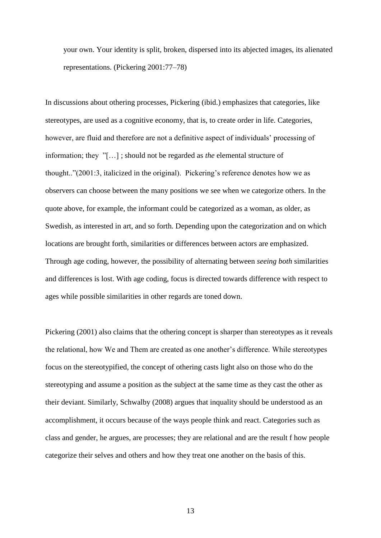your own. Your identity is split, broken, dispersed into its abjected images, its alienated representations. (Pickering 2001:77–78)

In discussions about othering processes, Pickering (ibid.) emphasizes that categories, like stereotypes, are used as a cognitive economy, that is, to create order in life. Categories, however, are fluid and therefore are not a definitive aspect of individuals" processing of information; they "[…] ; should not be regarded as *the* elemental structure of thought.."(2001:3, italicized in the original). Pickering"s reference denotes how we as observers can choose between the many positions we see when we categorize others. In the quote above, for example, the informant could be categorized as a woman, as older, as Swedish, as interested in art, and so forth. Depending upon the categorization and on which locations are brought forth, similarities or differences between actors are emphasized. Through age coding, however, the possibility of alternating between *seeing both* similarities and differences is lost. With age coding, focus is directed towards difference with respect to ages while possible similarities in other regards are toned down.

Pickering (2001) also claims that the othering concept is sharper than stereotypes as it reveals the relational, how We and Them are created as one another"s difference. While stereotypes focus on the stereotypified, the concept of othering casts light also on those who do the stereotyping and assume a position as the subject at the same time as they cast the other as their deviant. Similarly, Schwalby (2008) argues that inquality should be understood as an accomplishment, it occurs because of the ways people think and react. Categories such as class and gender, he argues, are processes; they are relational and are the result f how people categorize their selves and others and how they treat one another on the basis of this.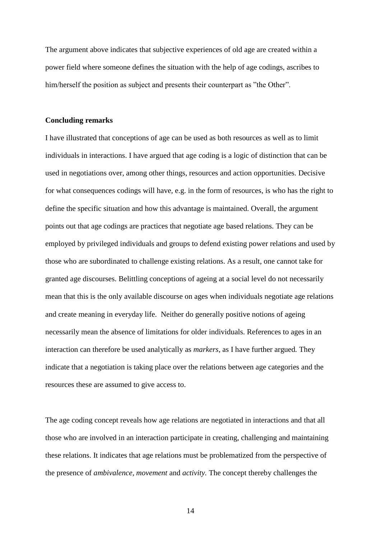The argument above indicates that subjective experiences of old age are created within a power field where someone defines the situation with the help of age codings, ascribes to him/herself the position as subject and presents their counterpart as "the Other".

#### **Concluding remarks**

I have illustrated that conceptions of age can be used as both resources as well as to limit individuals in interactions. I have argued that age coding is a logic of distinction that can be used in negotiations over, among other things, resources and action opportunities. Decisive for what consequences codings will have, e.g. in the form of resources, is who has the right to define the specific situation and how this advantage is maintained. Overall, the argument points out that age codings are practices that negotiate age based relations. They can be employed by privileged individuals and groups to defend existing power relations and used by those who are subordinated to challenge existing relations. As a result, one cannot take for granted age discourses. Belittling conceptions of ageing at a social level do not necessarily mean that this is the only available discourse on ages when individuals negotiate age relations and create meaning in everyday life. Neither do generally positive notions of ageing necessarily mean the absence of limitations for older individuals. References to ages in an interaction can therefore be used analytically as *markers*, as I have further argued*.* They indicate that a negotiation is taking place over the relations between age categories and the resources these are assumed to give access to.

The age coding concept reveals how age relations are negotiated in interactions and that all those who are involved in an interaction participate in creating, challenging and maintaining these relations. It indicates that age relations must be problematized from the perspective of the presence of *ambivalence, movement* and *activity.* The concept thereby challenges the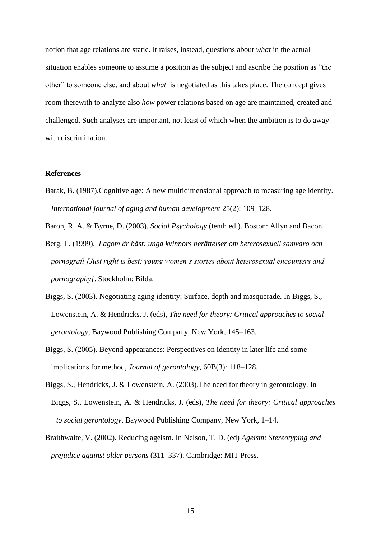notion that age relations are static. It raises, instead, questions about *what* in the actual situation enables someone to assume a position as the subject and ascribe the position as "the other" to someone else, and about *what* is negotiated as this takes place. The concept gives room therewith to analyze also *how* power relations based on age are maintained, created and challenged. Such analyses are important, not least of which when the ambition is to do away with discrimination.

# **References**

Barak, B. (1987).Cognitive age: A new multidimensional approach to measuring age identity. *International journal of aging and human development* 25(2): 109–128.

Baron, R. A. & Byrne, D. (2003). *Social Psychology* (tenth ed.). Boston: Allyn and Bacon.

- Berg, L. (1999). *Lagom är bäst: unga kvinnors berättelser om heterosexuell samvaro och pornografi [Just right is best: young women's stories about heterosexual encounters and pornography]*. Stockholm: Bilda.
- Biggs, S. (2003). Negotiating aging identity: Surface, depth and masquerade. In Biggs, S., Lowenstein, A. & Hendricks, J. (eds), *The need for theory: Critical approaches to social gerontology,* Baywood Publishing Company, New York, 145–163.
- Biggs, S. (2005). Beyond appearances: Perspectives on identity in later life and some implications for method, *Journal of gerontology,* 60B(3): 118–128.
- Biggs, S., Hendricks, J. & Lowenstein, A. (2003).The need for theory in gerontology. In Biggs, S., Lowenstein, A. & Hendricks, J. (eds), *The need for theory: Critical approaches to social gerontology,* Baywood Publishing Company, New York, 1–14.
- Braithwaite, V. (2002). Reducing ageism. In Nelson, T. D. (ed) *Ageism: Stereotyping and prejudice against older persons* (311–337). Cambridge: MIT Press.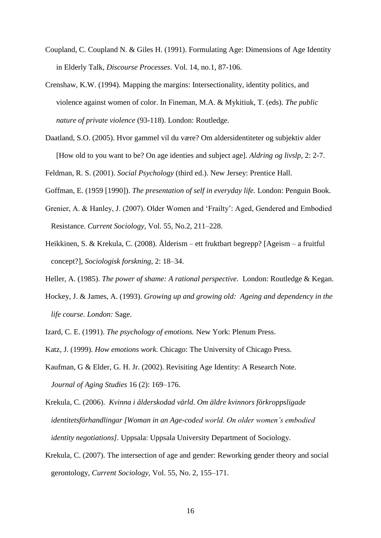- Coupland, C. Coupland N. & Giles H. (1991). Formulating Age: Dimensions of Age Identity in Elderly Talk, *Discourse Processes*. Vol. 14, no.1, 87-106.
- Crenshaw, K.W. (1994). Mapping the margins: Intersectionality, identity politics, and violence against women of color. In Fineman, M.A. & Mykitiuk, T. (eds). *The public nature of private violence* (93-118). London: Routledge.
- Daatland, S.O. (2005). Hvor gammel vil du være? Om aldersidentiteter og subjektiv alder [How old to you want to be? On age identies and subject age]. *Aldring og livslp*, 2: 2-7.
- Feldman, R. S. (2001). *Social Psychology* (third ed.). New Jersey: Prentice Hall.
- Goffman, E. (1959 [1990]). *The presentation of self in everyday life.* London: Penguin Book.
- Grenier, A. & Hanley, J. (2007). Older Women and "Frailty": Aged, Gendered and Embodied Resistance. *Current Sociology*, Vol. 55, No.2, 211–228.
- Heikkinen, S. & Krekula, C. (2008). Ålderism ett fruktbart begrepp? [Ageism a fruitful concept?], *Sociologisk forskning*, 2: 18–34.
- Heller, A. (1985). *The power of shame: A rational perspective.* London: Routledge & Kegan.
- Hockey, J. & James, A. (1993). *Growing up and growing old: Ageing and dependency in the life course. London:* Sage.
- Izard, C. E. (1991). *The psychology of emotions.* New York: Plenum Press.
- Katz, J. (1999). *How emotions work.* Chicago: The University of Chicago Press.
- Kaufman, G & Elder, G. H. Jr. (2002). Revisiting Age Identity: A Research Note. *Journal of Aging Studies* 16 (2): 169–176.
- Krekula, C. (2006). *Kvinna i ålderskodad värld. Om äldre kvinnors förkroppsligade identitetsförhandlingar [Woman in an Age-coded world. On older women's embodied identity negotiations].* Uppsala: Uppsala University Department of Sociology.
- Krekula, C. (2007). The intersection of age and gender: Reworking gender theory and social gerontology, *Current Sociology,* Vol. 55, No. 2, 155–171.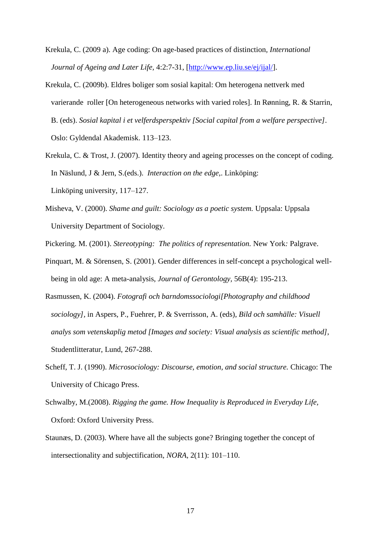- Krekula, C. (2009 a). Age coding: On age-based practices of distinction*, International Journal of Ageing and Later Life,* 4:2:7-31, [\[http://www.ep.liu.se/ej/ijal/\]](http://www.ep.liu.se/ej/ijal/).
- Krekula, C. (2009b). Eldres boliger som sosial kapital: Om heterogena nettverk med varierande roller [On heterogeneous networks with varied roles]. In Rønning, R. & Starrin, B. (eds). *Sosial kapital i et velferdsperspektiv [Social capital from a welfare perspective]*. Oslo: Gyldendal Akademisk. 113–123.
- Krekula, C. & Trost, J. (2007). Identity theory and ageing processes on the concept of coding. In Näslund, J & Jern, S.(eds.). *Interaction on the edge,*. Linköping: Linköping university, 117–127.
- Misheva, V. (2000). *Shame and guilt: Sociology as a poetic system.* Uppsala: Uppsala University Department of Sociology.
- Pickering. M. (2001). *Stereotyping: The politics of representation.* New York*:* Palgrave.
- Pinquart, M. & Sörensen, S. (2001). Gender differences in self-concept a psychological wellbeing in old age: A meta-analysis, *Journal of Gerontology,* 56B(4): 195-213.
- Rasmussen, K. (2004). *Fotografi och barndomssociologi[Photography and childhood sociology],* in Aspers, P., Fuehrer, P. & Sverrisson, A. (eds), *Bild och samhälle: Visuell analys som vetenskaplig metod [Images and society: Visual analysis as scientific method],*  Studentlitteratur, Lund, 267-288.
- Scheff, T. J. (1990). *Microsociology: Discourse, emotion, and social structure.* Chicago: The University of Chicago Press.
- Schwalby, M.(2008). *Rigging the game. How Inequality is Reproduced in Everyday Life,*  Oxford: Oxford University Press.
- Staunæs, D. (2003). Where have all the subjects gone? Bringing together the concept of intersectionality and subjectification, *NORA,* 2(11): 101–110.